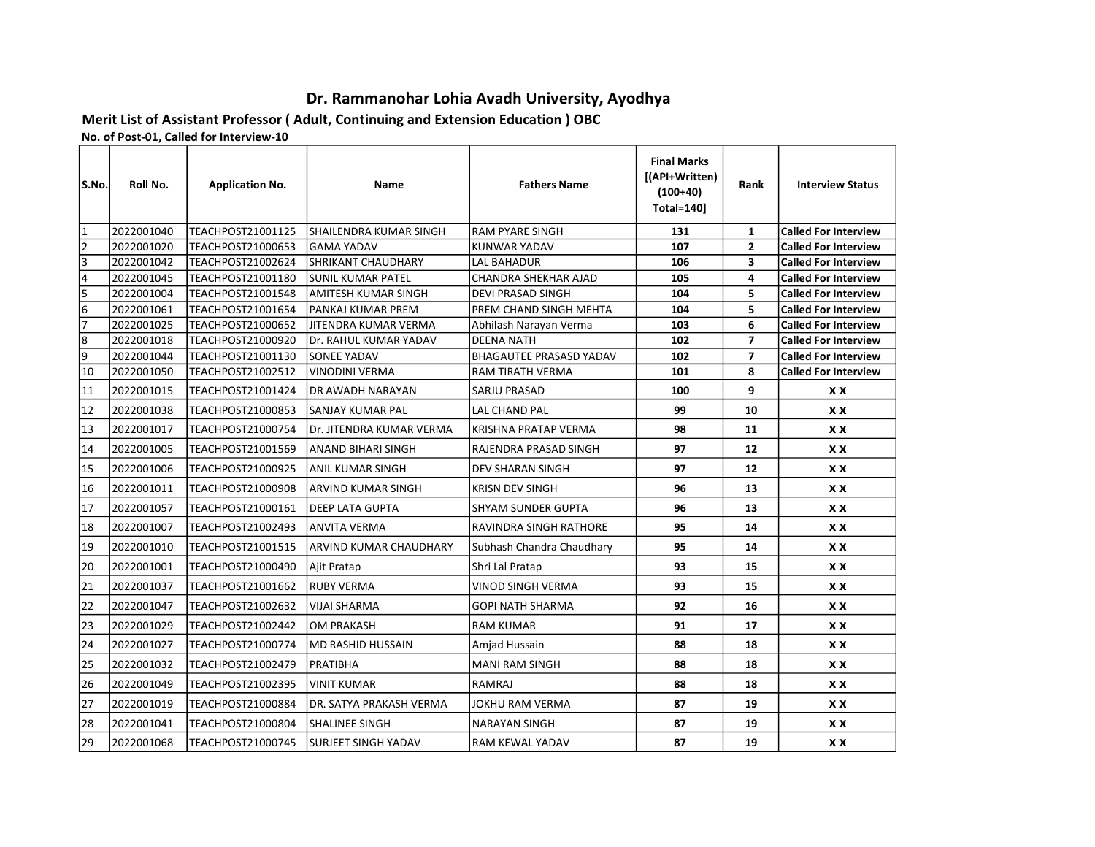## Dr. Rammanohar Lohia Avadh University, Ayodhya

Rank | Interview Status

## Merit List of Assistant Professor ( Adult, Continuing and Extension Education ) OBC No. of Post-01, Called for Interview-10

S.No. Roll No. | Application No. | Name | Fathers Name Final Marks [(API+Written) (100+40) Total=140]

| 1                       | 2022001040 | <b>TEACHPOST21001125</b> | <b>SHAILENDRA KUMAR SINGH</b> | lRAM PYARE SINGH               | 131 | $\mathbf{1}$   | <b>Called For Interview</b> |
|-------------------------|------------|--------------------------|-------------------------------|--------------------------------|-----|----------------|-----------------------------|
| $\overline{\mathbf{c}}$ | 2022001020 | TEACHPOST21000653        | <b>GAMA YADAV</b>             | <b>KUNWAR YADAV</b>            | 107 | $\overline{2}$ | <b>Called For Interview</b> |
| 3                       | 2022001042 | <b>TEACHPOST21002624</b> | <b>SHRIKANT CHAUDHARY</b>     | <b>LAL BAHADUR</b>             | 106 | 3              | <b>Called For Interview</b> |
| $\frac{1}{4}$           | 2022001045 | TEACHPOST21001180        | <b>SUNIL KUMAR PATEL</b>      | CHANDRA SHEKHAR AJAD           | 105 | 4              | <b>Called For Interview</b> |
| 5                       | 2022001004 | <b>TEACHPOST21001548</b> | <b>AMITESH KUMAR SINGH</b>    | <b>DEVI PRASAD SINGH</b>       | 104 | 5              | <b>Called For Interview</b> |
| $\overline{6}$          | 2022001061 | TEACHPOST21001654        | <b>PANKAJ KUMAR PREM</b>      | PREM CHAND SINGH MEHTA         | 104 | 5              | <b>Called For Interview</b> |
| 7                       | 2022001025 | TEACHPOST21000652        | <b>JITENDRA KUMAR VERMA</b>   | Abhilash Narayan Verma         | 103 | 6              | <b>Called For Interview</b> |
| 8                       | 2022001018 | TEACHPOST21000920        | Dr. RAHUL KUMAR YADAV         | <b>DEENA NATH</b>              | 102 | $\overline{ }$ | <b>Called For Interview</b> |
| $\overline{9}$          | 2022001044 | TEACHPOST21001130        | SONEE YADAV                   | <b>BHAGAUTEE PRASASD YADAV</b> | 102 | $\overline{ }$ | <b>Called For Interview</b> |
| 10                      | 2022001050 | <b>TEACHPOST21002512</b> | <b>VINODINI VERMA</b>         | RAM TIRATH VERMA               | 101 | 8              | <b>Called For Interview</b> |
| 11                      | 2022001015 | TEACHPOST21001424        | DR AWADH NARAYAN              | SARJU PRASAD                   | 100 | 9              | <b>XX</b>                   |
| 12                      | 2022001038 | TEACHPOST21000853        | <b>SANJAY KUMAR PAL</b>       | LAL CHAND PAL                  | 99  | 10             | <b>XX</b>                   |
| 13                      | 2022001017 | TEACHPOST21000754        | Dr. JITENDRA KUMAR VERMA      | KRISHNA PRATAP VERMA           | 98  | 11             | <b>XX</b>                   |
| 14                      | 2022001005 | TEACHPOST21001569        | ANAND BIHARI SINGH            | RAJENDRA PRASAD SINGH          | 97  | 12             | <b>XX</b>                   |
| 15                      | 2022001006 | <b>TEACHPOST21000925</b> | <b>ANIL KUMAR SINGH</b>       | <b>DEV SHARAN SINGH</b>        | 97  | 12             | <b>XX</b>                   |
| 16                      | 2022001011 | <b>TEACHPOST21000908</b> | <b>ARVIND KUMAR SINGH</b>     | <b>KRISN DEV SINGH</b>         | 96  | 13             | <b>XX</b>                   |
| 17                      | 2022001057 | TEACHPOST21000161        | <b>DEEP LATA GUPTA</b>        | <b>SHYAM SUNDER GUPTA</b>      | 96  | 13             | <b>XX</b>                   |
| 18                      | 2022001007 | TEACHPOST21002493        | <b>ANVITA VERMA</b>           | RAVINDRA SINGH RATHORE         | 95  | 14             | <b>XX</b>                   |
| 19                      | 2022001010 | <b>TEACHPOST21001515</b> | <b>ARVIND KUMAR CHAUDHARY</b> | Subhash Chandra Chaudhary      | 95  | 14             | <b>XX</b>                   |
| 20                      | 2022001001 | TEACHPOST21000490        | Ajit Pratap                   | Shri Lal Pratap                | 93  | 15             | <b>XX</b>                   |
| 21                      | 2022001037 | <b>TEACHPOST21001662</b> | <b>RUBY VERMA</b>             | VINOD SINGH VERMA              | 93  | 15             | <b>XX</b>                   |
| 22                      | 2022001047 | <b>TEACHPOST21002632</b> | <b>VIJAI SHARMA</b>           | GOPI NATH SHARMA               | 92  | 16             | <b>XX</b>                   |
| 23                      | 2022001029 | <b>TEACHPOST21002442</b> | <b>OM PRAKASH</b>             | <b>RAM KUMAR</b>               | 91  | 17             | <b>XX</b>                   |
| 24                      | 2022001027 | TEACHPOST21000774        | MD RASHID HUSSAIN             | Amjad Hussain                  | 88  | 18             | <b>XX</b>                   |
| 25                      | 2022001032 | TEACHPOST21002479        | PRATIBHA                      | <b>MANI RAM SINGH</b>          | 88  | 18             | <b>XX</b>                   |
| 26                      | 2022001049 | <b>TEACHPOST21002395</b> | <b>VINIT KUMAR</b>            | RAMRAJ                         | 88  | 18             | <b>XX</b>                   |
| 27                      | 2022001019 | TEACHPOST21000884        | DR. SATYA PRAKASH VERMA       | <b>JOKHU RAM VERMA</b>         | 87  | 19             | <b>XX</b>                   |
| 28                      | 2022001041 | TEACHPOST21000804        | SHALINEE SINGH                | <b>NARAYAN SINGH</b>           | 87  | 19             | <b>XX</b>                   |
| 29                      | 2022001068 | TEACHPOST21000745        | <b>SURJEET SINGH YADAV</b>    | RAM KEWAL YADAV                | 87  | 19             | <b>XX</b>                   |
|                         |            |                          |                               |                                |     |                |                             |